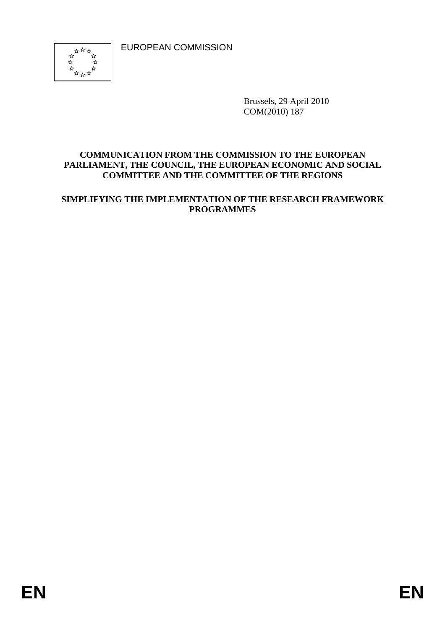EUROPEAN COMMISSION



Brussels, 29 April 2010 COM(2010) 187

#### **COMMUNICATION FROM THE COMMISSION TO THE EUROPEAN PARLIAMENT, THE COUNCIL, THE EUROPEAN ECONOMIC AND SOCIAL COMMITTEE AND THE COMMITTEE OF THE REGIONS**

#### **SIMPLIFYING THE IMPLEMENTATION OF THE RESEARCH FRAMEWORK PROGRAMMES**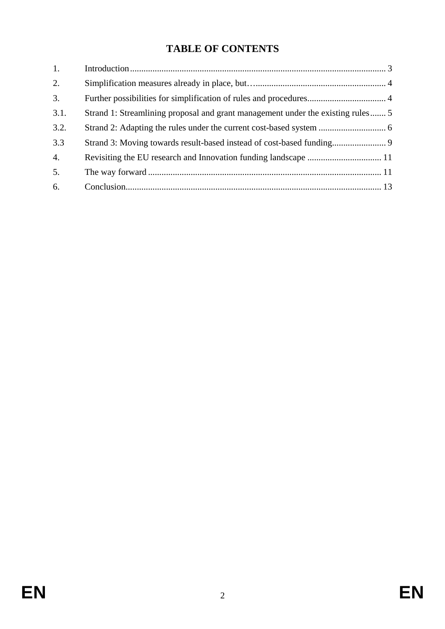# **TABLE OF CONTENTS**

| 1.               |                                                                                 |  |
|------------------|---------------------------------------------------------------------------------|--|
| 2.               |                                                                                 |  |
| 3.               |                                                                                 |  |
| 3.1.             | Strand 1: Streamlining proposal and grant management under the existing rules 5 |  |
| 3.2.             |                                                                                 |  |
| 3.3              |                                                                                 |  |
| $\overline{4}$ . |                                                                                 |  |
| 5.               |                                                                                 |  |
| 6.               |                                                                                 |  |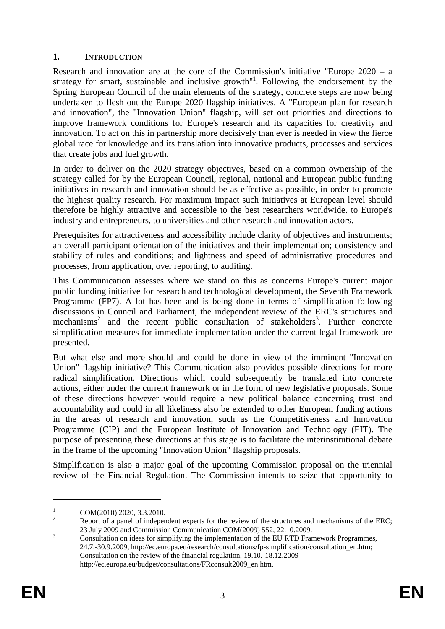#### <span id="page-2-0"></span>**1. INTRODUCTION**

Research and innovation are at the core of the Commission's initiative "Europe 2020 – a strategy for smart, sustainable and inclusive growth"<sup>1</sup>. Following the endorsement by the Spring European Council of the main elements of the strategy, concrete steps are now being undertaken to flesh out the Europe 2020 flagship initiatives. A "European plan for research and innovation", the "Innovation Union" flagship, will set out priorities and directions to improve framework conditions for Europe's research and its capacities for creativity and innovation. To act on this in partnership more decisively than ever is needed in view the fierce global race for knowledge and its translation into innovative products, processes and services that create jobs and fuel growth.

In order to deliver on the 2020 strategy objectives, based on a common ownership of the strategy called for by the European Council, regional, national and European public funding initiatives in research and innovation should be as effective as possible, in order to promote the highest quality research. For maximum impact such initiatives at European level should therefore be highly attractive and accessible to the best researchers worldwide, to Europe's industry and entrepreneurs, to universities and other research and innovation actors.

Prerequisites for attractiveness and accessibility include clarity of objectives and instruments; an overall participant orientation of the initiatives and their implementation; consistency and stability of rules and conditions; and lightness and speed of administrative procedures and processes, from application, over reporting, to auditing.

This Communication assesses where we stand on this as concerns Europe's current major public funding initiative for research and technological development, the Seventh Framework Programme (FP7). A lot has been and is being done in terms of simplification following discussions in Council and Parliament, the independent review of the ERC's structures and  $mechanisms<sup>2</sup>$  and the recent public consultation of stakeholders<sup>3</sup>. Further concrete simplification measures for immediate implementation under the current legal framework are presented.

But what else and more should and could be done in view of the imminent "Innovation Union" flagship initiative? This Communication also provides possible directions for more radical simplification. Directions which could subsequently be translated into concrete actions, either under the current framework or in the form of new legislative proposals. Some of these directions however would require a new political balance concerning trust and accountability and could in all likeliness also be extended to other European funding actions in the areas of research and innovation, such as the Competitiveness and Innovation Programme (CIP) and the European Institute of Innovation and Technology (EIT). The purpose of presenting these directions at this stage is to facilitate the interinstitutional debate in the frame of the upcoming "Innovation Union" flagship proposals.

Simplification is also a major goal of the upcoming Commission proposal on the triennial review of the Financial Regulation. The Commission intends to seize that opportunity to

1

<sup>1</sup> COM(2010) 2020, 3.3.2010.

<sup>2</sup> Report of a panel of independent experts for the review of the structures and mechanisms of the ERC; 23 July 2009 and Commission Communication COM(2009) 552, 22.10.2009.

Consultation on ideas for simplifying the implementation of the EU RTD Framework Programmes, 24.7.-30.9.2009[, http://ec.europa.eu/research/consultations/fp-simplification/consultation\\_en.htm;](http://ec.europa.eu/research/consultations/fp-simplification/consultation_en.htm) Consultation on the review of the financial regulation, 19.10.-18.12.2009 [http://ec.europa.eu/budget/consultations/FRconsult2009\\_en.htm.](http://ec.europa.eu/budget/consultations/FRconsult2009_en.htm)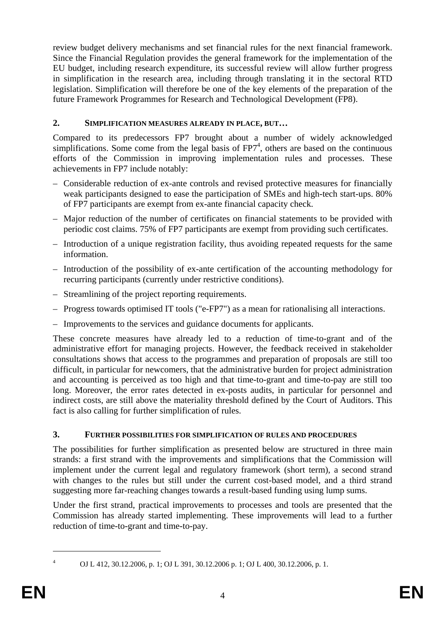review budget delivery mechanisms and set financial rules for the next financial framework. Since the Financial Regulation provides the general framework for the implementation of the EU budget, including research expenditure, its successful review will allow further progress in simplification in the research area, including through translating it in the sectoral RTD legislation. Simplification will therefore be one of the key elements of the preparation of the future Framework Programmes for Research and Technological Development (FP8).

# <span id="page-3-0"></span>**2. SIMPLIFICATION MEASURES ALREADY IN PLACE, BUT…**

Compared to its predecessors FP7 brought about a number of widely acknowledged simplifications. Some come from the legal basis of  $FPT<sup>4</sup>$ , others are based on the continuous efforts of the Commission in improving implementation rules and processes. These achievements in FP7 include notably:

- Considerable reduction of ex-ante controls and revised protective measures for financially weak participants designed to ease the participation of SMEs and high-tech start-ups. 80% of FP7 participants are exempt from ex-ante financial capacity check.
- Major reduction of the number of certificates on financial statements to be provided with periodic cost claims. 75% of FP7 participants are exempt from providing such certificates.
- Introduction of a unique registration facility, thus avoiding repeated requests for the same information.
- Introduction of the possibility of ex-ante certification of the accounting methodology for recurring participants (currently under restrictive conditions).
- Streamlining of the project reporting requirements.
- Progress towards optimised IT tools ("e-FP7") as a mean for rationalising all interactions.
- Improvements to the services and guidance documents for applicants.

These concrete measures have already led to a reduction of time-to-grant and of the administrative effort for managing projects. However, the feedback received in stakeholder consultations shows that access to the programmes and preparation of proposals are still too difficult, in particular for newcomers, that the administrative burden for project administration and accounting is perceived as too high and that time-to-grant and time-to-pay are still too long. Moreover, the error rates detected in ex-posts audits, in particular for personnel and indirect costs, are still above the materiality threshold defined by the Court of Auditors. This fact is also calling for further simplification of rules.

## <span id="page-3-1"></span>**3. FURTHER POSSIBILITIES FOR SIMPLIFICATION OF RULES AND PROCEDURES**

The possibilities for further simplification as presented below are structured in three main strands: a first strand with the improvements and simplifications that the Commission will implement under the current legal and regulatory framework (short term), a second strand with changes to the rules but still under the current cost-based model, and a third strand suggesting more far-reaching changes towards a result-based funding using lump sums.

Under the first strand, practical improvements to processes and tools are presented that the Commission has already started implementing. These improvements will lead to a further reduction of time-to-grant and time-to-pay.

1

<sup>4</sup>

OJ L 412, 30.12.2006, p. 1; OJ L 391, 30.12.2006 p. 1; OJ L 400, 30.12.2006, p. 1.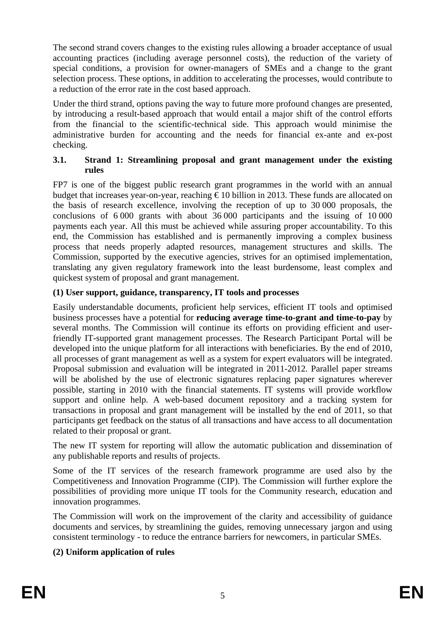The second strand covers changes to the existing rules allowing a broader acceptance of usual accounting practices (including average personnel costs), the reduction of the variety of special conditions, a provision for owner-managers of SMEs and a change to the grant selection process. These options, in addition to accelerating the processes, would contribute to a reduction of the error rate in the cost based approach.

Under the third strand, options paving the way to future more profound changes are presented, by introducing a result-based approach that would entail a major shift of the control efforts from the financial to the scientific-technical side. This approach would minimise the administrative burden for accounting and the needs for financial ex-ante and ex-post checking.

#### <span id="page-4-0"></span>**3.1. Strand 1: Streamlining proposal and grant management under the existing rules**

FP7 is one of the biggest public research grant programmes in the world with an annual budget that increases year-on-year, reaching  $\epsilon$  10 billion in 2013. These funds are allocated on the basis of research excellence, involving the reception of up to 30 000 proposals, the conclusions of 6 000 grants with about 36 000 participants and the issuing of 10 000 payments each year. All this must be achieved while assuring proper accountability. To this end, the Commission has established and is permanently improving a complex business process that needs properly adapted resources, management structures and skills. The Commission, supported by the executive agencies, strives for an optimised implementation, translating any given regulatory framework into the least burdensome, least complex and quickest system of proposal and grant management.

## **(1) User support, guidance, transparency, IT tools and processes**

Easily understandable documents, proficient help services, efficient IT tools and optimised business processes have a potential for **reducing average time-to-grant and time-to-pay** by several months. The Commission will continue its efforts on providing efficient and userfriendly IT-supported grant management processes. The Research Participant Portal will be developed into the unique platform for all interactions with beneficiaries. By the end of 2010, all processes of grant management as well as a system for expert evaluators will be integrated. Proposal submission and evaluation will be integrated in 2011-2012. Parallel paper streams will be abolished by the use of electronic signatures replacing paper signatures wherever possible, starting in 2010 with the financial statements. IT systems will provide workflow support and online help. A web-based document repository and a tracking system for transactions in proposal and grant management will be installed by the end of 2011, so that participants get feedback on the status of all transactions and have access to all documentation related to their proposal or grant.

The new IT system for reporting will allow the automatic publication and dissemination of any publishable reports and results of projects.

Some of the IT services of the research framework programme are used also by the Competitiveness and Innovation Programme (CIP). The Commission will further explore the possibilities of providing more unique IT tools for the Community research, education and innovation programmes.

The Commission will work on the improvement of the clarity and accessibility of guidance documents and services, by streamlining the guides, removing unnecessary jargon and using consistent terminology - to reduce the entrance barriers for newcomers, in particular SMEs.

## **(2) Uniform application of rules**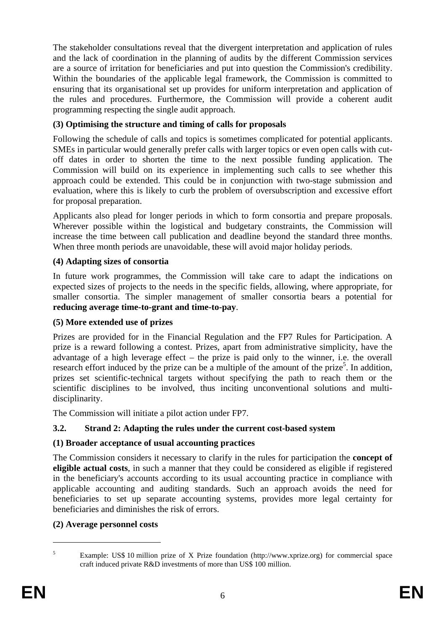The stakeholder consultations reveal that the divergent interpretation and application of rules and the lack of coordination in the planning of audits by the different Commission services are a source of irritation for beneficiaries and put into question the Commission's credibility. Within the boundaries of the applicable legal framework, the Commission is committed to ensuring that its organisational set up provides for uniform interpretation and application of the rules and procedures. Furthermore, the Commission will provide a coherent audit programming respecting the single audit approach.

# **(3) Optimising the structure and timing of calls for proposals**

Following the schedule of calls and topics is sometimes complicated for potential applicants. SMEs in particular would generally prefer calls with larger topics or even open calls with cutoff dates in order to shorten the time to the next possible funding application. The Commission will build on its experience in implementing such calls to see whether this approach could be extended. This could be in conjunction with two-stage submission and evaluation, where this is likely to curb the problem of oversubscription and excessive effort for proposal preparation.

Applicants also plead for longer periods in which to form consortia and prepare proposals. Wherever possible within the logistical and budgetary constraints, the Commission will increase the time between call publication and deadline beyond the standard three months. When three month periods are unavoidable, these will avoid major holiday periods.

## **(4) Adapting sizes of consortia**

In future work programmes, the Commission will take care to adapt the indications on expected sizes of projects to the needs in the specific fields, allowing, where appropriate, for smaller consortia. The simpler management of smaller consortia bears a potential for **reducing average time-to-grant and time-to-pay**.

## **(5) More extended use of prizes**

Prizes are provided for in the Financial Regulation and the FP7 Rules for Participation. A prize is a reward following a contest. Prizes, apart from administrative simplicity, have the advantage of a high leverage effect – the prize is paid only to the winner, i.e. the overall research effort induced by the prize can be a multiple of the amount of the prize<sup>5</sup>. In addition, prizes set scientific-technical targets without specifying the path to reach them or the scientific disciplines to be involved, thus inciting unconventional solutions and multidisciplinarity.

The Commission will initiate a pilot action under FP7.

# <span id="page-5-0"></span>**3.2. Strand 2: Adapting the rules under the current cost-based system**

# **(1) Broader acceptance of usual accounting practices**

The Commission considers it necessary to clarify in the rules for participation the **concept of eligible actual costs**, in such a manner that they could be considered as eligible if registered in the beneficiary's accounts according to its usual accounting practice in compliance with applicable accounting and auditing standards. Such an approach avoids the need for beneficiaries to set up separate accounting systems, provides more legal certainty for beneficiaries and diminishes the risk of errors.

## **(2) Average personnel costs**

Example: US\$ 10 million prize of X Prize foundation [\(http://www.xprize.org\)](http://www.xprize.org/) for commercial space craft induced private R&D investments of more than US\$ 100 million.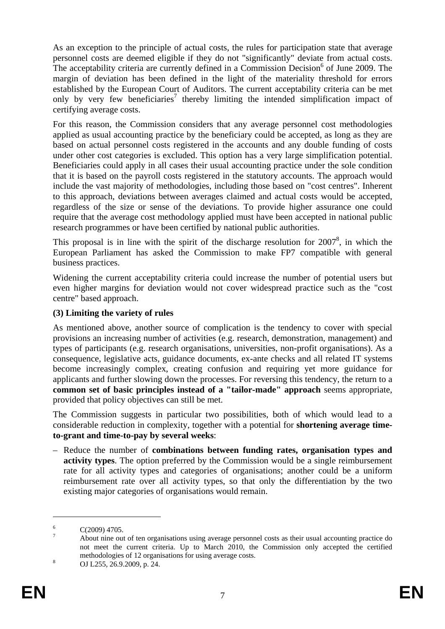As an exception to the principle of actual costs, the rules for participation state that average personnel costs are deemed eligible if they do not "significantly" deviate from actual costs. The acceptability criteria are currently defined in a Commission Decision $<sup>6</sup>$  of June 2009. The</sup> margin of deviation has been defined in the light of the materiality threshold for errors established by the European Court of Auditors. The current acceptability criteria can be met only by very few beneficiaries<sup>7</sup> thereby limiting the intended simplification impact of certifying average costs.

For this reason, the Commission considers that any average personnel cost methodologies applied as usual accounting practice by the beneficiary could be accepted, as long as they are based on actual personnel costs registered in the accounts and any double funding of costs under other cost categories is excluded. This option has a very large simplification potential. Beneficiaries could apply in all cases their usual accounting practice under the sole condition that it is based on the payroll costs registered in the statutory accounts. The approach would include the vast majority of methodologies, including those based on "cost centres". Inherent to this approach, deviations between averages claimed and actual costs would be accepted, regardless of the size or sense of the deviations. To provide higher assurance one could require that the average cost methodology applied must have been accepted in national public research programmes or have been certified by national public authorities.

This proposal is in line with the spirit of the discharge resolution for  $2007^8$ , in which the European Parliament has asked the Commission to make FP7 compatible with general business practices.

Widening the current acceptability criteria could increase the number of potential users but even higher margins for deviation would not cover widespread practice such as the "cost centre" based approach.

# **(3) Limiting the variety of rules**

As mentioned above, another source of complication is the tendency to cover with special provisions an increasing number of activities (e.g. research, demonstration, management) and types of participants (e.g. research organisations, universities, non-profit organisations). As a consequence, legislative acts, guidance documents, ex-ante checks and all related IT systems become increasingly complex, creating confusion and requiring yet more guidance for applicants and further slowing down the processes. For reversing this tendency, the return to a **common set of basic principles instead of a "tailor-made" approach** seems appropriate, provided that policy objectives can still be met.

The Commission suggests in particular two possibilities, both of which would lead to a considerable reduction in complexity, together with a potential for **shortening average timeto-grant and time-to-pay by several weeks**:

– Reduce the number of **combinations between funding rates, organisation types and activity types**. The option preferred by the Commission would be a single reimbursement rate for all activity types and categories of organisations; another could be a uniform reimbursement rate over all activity types, so that only the differentiation by the two existing major categories of organisations would remain.

<sup>6</sup> C(2009) 4705.

<sup>7</sup> About nine out of ten organisations using average personnel costs as their usual accounting practice do not meet the current criteria. Up to March 2010, the Commission only accepted the certified methodologies of 12 organisations for using average costs.

OJ L255, 26.9.2009, p. 24.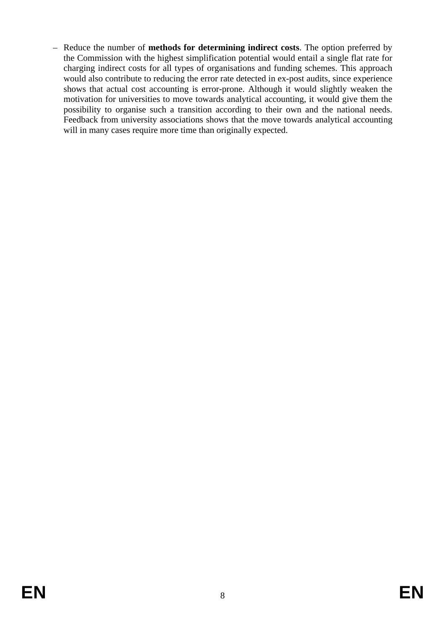– Reduce the number of **methods for determining indirect costs**. The option preferred by the Commission with the highest simplification potential would entail a single flat rate for charging indirect costs for all types of organisations and funding schemes. This approach would also contribute to reducing the error rate detected in ex-post audits, since experience shows that actual cost accounting is error-prone. Although it would slightly weaken the motivation for universities to move towards analytical accounting, it would give them the possibility to organise such a transition according to their own and the national needs. Feedback from university associations shows that the move towards analytical accounting will in many cases require more time than originally expected.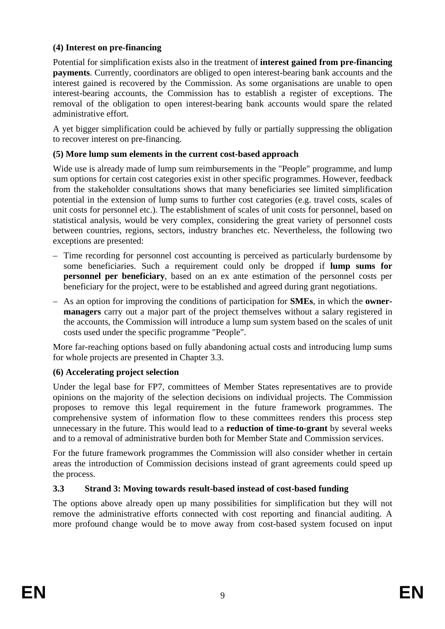## **(4) Interest on pre-financing**

Potential for simplification exists also in the treatment of **interest gained from pre-financing payments**. Currently, coordinators are obliged to open interest-bearing bank accounts and the interest gained is recovered by the Commission. As some organisations are unable to open interest-bearing accounts, the Commission has to establish a register of exceptions. The removal of the obligation to open interest-bearing bank accounts would spare the related administrative effort.

A yet bigger simplification could be achieved by fully or partially suppressing the obligation to recover interest on pre-financing.

# **(5) More lump sum elements in the current cost-based approach**

Wide use is already made of lump sum reimbursements in the "People" programme, and lump sum options for certain cost categories exist in other specific programmes. However, feedback from the stakeholder consultations shows that many beneficiaries see limited simplification potential in the extension of lump sums to further cost categories (e.g. travel costs, scales of unit costs for personnel etc.). The establishment of scales of unit costs for personnel, based on statistical analysis, would be very complex, considering the great variety of personnel costs between countries, regions, sectors, industry branches etc. Nevertheless, the following two exceptions are presented:

- Time recording for personnel cost accounting is perceived as particularly burdensome by some beneficiaries. Such a requirement could only be dropped if **lump sums for personnel per beneficiary**, based on an ex ante estimation of the personnel costs per beneficiary for the project, were to be established and agreed during grant negotiations.
- As an option for improving the conditions of participation for **SMEs**, in which the **ownermanagers** carry out a major part of the project themselves without a salary registered in the accounts, the Commission will introduce a lump sum system based on the scales of unit costs used under the specific programme "People".

More far-reaching options based on fully abandoning actual costs and introducing lump sums for whole projects are presented in Chapter 3.3.

## **(6) Accelerating project selection**

Under the legal base for FP7, committees of Member States representatives are to provide opinions on the majority of the selection decisions on individual projects. The Commission proposes to remove this legal requirement in the future framework programmes. The comprehensive system of information flow to these committees renders this process step unnecessary in the future. This would lead to a **reduction of time-to-grant** by several weeks and to a removal of administrative burden both for Member State and Commission services.

For the future framework programmes the Commission will also consider whether in certain areas the introduction of Commission decisions instead of grant agreements could speed up the process.

## <span id="page-8-0"></span>**3.3 Strand 3: Moving towards result-based instead of cost-based funding**

The options above already open up many possibilities for simplification but they will not remove the administrative efforts connected with cost reporting and financial auditing. A more profound change would be to move away from cost-based system focused on input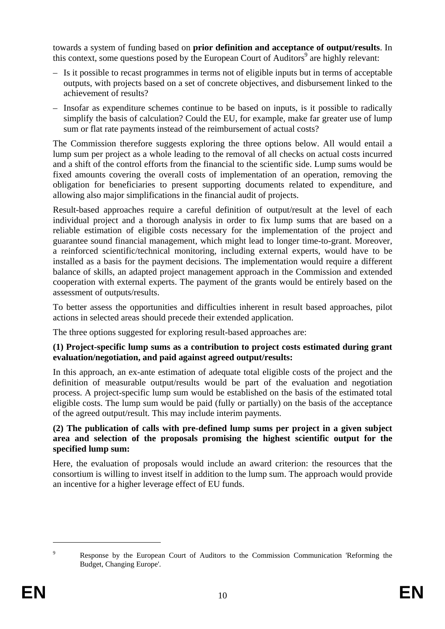towards a system of funding based on **prior definition and acceptance of output/results**. In this context, some questions posed by the European Court of Auditors<sup>9</sup> are highly relevant:

- Is it possible to recast programmes in terms not of eligible inputs but in terms of acceptable outputs, with projects based on a set of concrete objectives, and disbursement linked to the achievement of results?
- Insofar as expenditure schemes continue to be based on inputs, is it possible to radically simplify the basis of calculation? Could the EU, for example, make far greater use of lump sum or flat rate payments instead of the reimbursement of actual costs?

The Commission therefore suggests exploring the three options below. All would entail a lump sum per project as a whole leading to the removal of all checks on actual costs incurred and a shift of the control efforts from the financial to the scientific side. Lump sums would be fixed amounts covering the overall costs of implementation of an operation, removing the obligation for beneficiaries to present supporting documents related to expenditure, and allowing also major simplifications in the financial audit of projects.

Result-based approaches require a careful definition of output/result at the level of each individual project and a thorough analysis in order to fix lump sums that are based on a reliable estimation of eligible costs necessary for the implementation of the project and guarantee sound financial management, which might lead to longer time-to-grant. Moreover, a reinforced scientific/technical monitoring, including external experts, would have to be installed as a basis for the payment decisions. The implementation would require a different balance of skills, an adapted project management approach in the Commission and extended cooperation with external experts. The payment of the grants would be entirely based on the assessment of outputs/results.

To better assess the opportunities and difficulties inherent in result based approaches, pilot actions in selected areas should precede their extended application.

The three options suggested for exploring result-based approaches are:

#### **(1) Project-specific lump sums as a contribution to project costs estimated during grant evaluation/negotiation, and paid against agreed output/results:**

In this approach, an ex-ante estimation of adequate total eligible costs of the project and the definition of measurable output/results would be part of the evaluation and negotiation process. A project-specific lump sum would be established on the basis of the estimated total eligible costs. The lump sum would be paid (fully or partially) on the basis of the acceptance of the agreed output/result. This may include interim payments.

#### **(2) The publication of calls with pre-defined lump sums per project in a given subject area and selection of the proposals promising the highest scientific output for the specified lump sum:**

Here, the evaluation of proposals would include an award criterion: the resources that the consortium is willing to invest itself in addition to the lump sum. The approach would provide an incentive for a higher leverage effect of EU funds.

 $\overline{9}$  Response by the European Court of Auditors to the Commission Communication 'Reforming the Budget, Changing Europe'.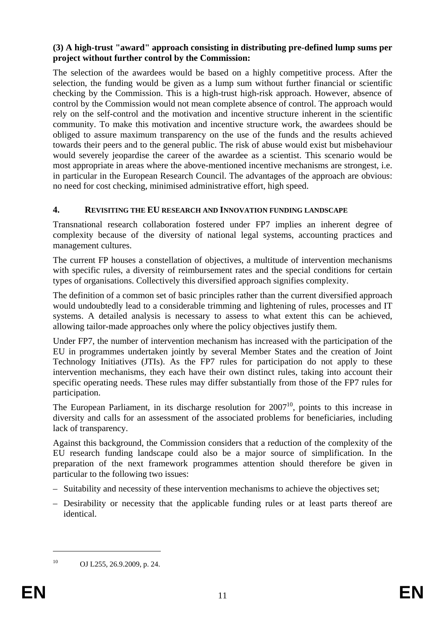#### **(3) A high-trust "award" approach consisting in distributing pre-defined lump sums per project without further control by the Commission:**

The selection of the awardees would be based on a highly competitive process. After the selection, the funding would be given as a lump sum without further financial or scientific checking by the Commission. This is a high-trust high-risk approach. However, absence of control by the Commission would not mean complete absence of control. The approach would rely on the self-control and the motivation and incentive structure inherent in the scientific community. To make this motivation and incentive structure work, the awardees should be obliged to assure maximum transparency on the use of the funds and the results achieved towards their peers and to the general public. The risk of abuse would exist but misbehaviour would severely jeopardise the career of the awardee as a scientist. This scenario would be most appropriate in areas where the above-mentioned incentive mechanisms are strongest, i.e. in particular in the European Research Council. The advantages of the approach are obvious: no need for cost checking, minimised administrative effort, high speed.

## <span id="page-10-0"></span>**4. REVISITING THE EU RESEARCH AND INNOVATION FUNDING LANDSCAPE**

Transnational research collaboration fostered under FP7 implies an inherent degree of complexity because of the diversity of national legal systems, accounting practices and management cultures.

The current FP houses a constellation of objectives, a multitude of intervention mechanisms with specific rules, a diversity of reimbursement rates and the special conditions for certain types of organisations. Collectively this diversified approach signifies complexity.

The definition of a common set of basic principles rather than the current diversified approach would undoubtedly lead to a considerable trimming and lightening of rules, processes and IT systems. A detailed analysis is necessary to assess to what extent this can be achieved, allowing tailor-made approaches only where the policy objectives justify them.

Under FP7, the number of intervention mechanism has increased with the participation of the EU in programmes undertaken jointly by several Member States and the creation of Joint Technology Initiatives (JTIs). As the FP7 rules for participation do not apply to these intervention mechanisms, they each have their own distinct rules, taking into account their specific operating needs. These rules may differ substantially from those of the FP7 rules for participation.

The European Parliament, in its discharge resolution for  $2007<sup>10</sup>$ , points to this increase in diversity and calls for an assessment of the associated problems for beneficiaries, including lack of transparency.

Against this background, the Commission considers that a reduction of the complexity of the EU research funding landscape could also be a major source of simplification. In the preparation of the next framework programmes attention should therefore be given in particular to the following two issues:

- Suitability and necessity of these intervention mechanisms to achieve the objectives set;
- Desirability or necessity that the applicable funding rules or at least parts thereof are identical.

1

<sup>10</sup> OJ L255, 26.9.2009, p. 24.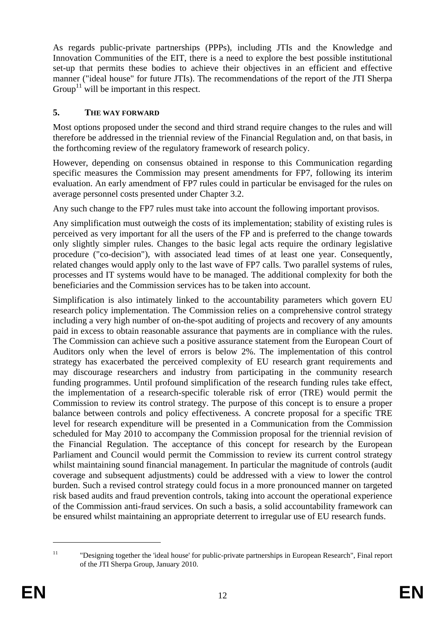As regards public-private partnerships (PPPs), including JTIs and the Knowledge and Innovation Communities of the EIT, there is a need to explore the best possible institutional set-up that permits these bodies to achieve their objectives in an efficient and effective manner ("ideal house" for future JTIs). The recommendations of the report of the JTI Sherpa Group<sup>11</sup> will be important in this respect.

## **5. THE WAY FORWARD**

Most options proposed under the second and third strand require changes to the rules and will therefore be addressed in the triennial review of the Financial Regulation and, on that basis, in the forthcoming review of the regulatory framework of research policy.

However, depending on consensus obtained in response to this Communication regarding specific measures the Commission may present amendments for FP7, following its interim evaluation. An early amendment of FP7 rules could in particular be envisaged for the rules on average personnel costs presented under Chapter 3.2.

Any such change to the FP7 rules must take into account the following important provisos.

Any simplification must outweigh the costs of its implementation; stability of existing rules is perceived as very important for all the users of the FP and is preferred to the change towards only slightly simpler rules. Changes to the basic legal acts require the ordinary legislative procedure ("co-decision"), with associated lead times of at least one year. Consequently, related changes would apply only to the last wave of FP7 calls. Two parallel systems of rules, processes and IT systems would have to be managed. The additional complexity for both the beneficiaries and the Commission services has to be taken into account.

Simplification is also intimately linked to the accountability parameters which govern EU research policy implementation. The Commission relies on a comprehensive control strategy including a very high number of on-the-spot auditing of projects and recovery of any amounts paid in excess to obtain reasonable assurance that payments are in compliance with the rules. The Commission can achieve such a positive assurance statement from the European Court of Auditors only when the level of errors is below 2%. The implementation of this control strategy has exacerbated the perceived complexity of EU research grant requirements and may discourage researchers and industry from participating in the community research funding programmes. Until profound simplification of the research funding rules take effect, the implementation of a research-specific tolerable risk of error (TRE) would permit the Commission to review its control strategy. The purpose of this concept is to ensure a proper balance between controls and policy effectiveness. A concrete proposal for a specific TRE level for research expenditure will be presented in a Communication from the Commission scheduled for May 2010 to accompany the Commission proposal for the triennial revision of the Financial Regulation. The acceptance of this concept for research by the European Parliament and Council would permit the Commission to review its current control strategy whilst maintaining sound financial management. In particular the magnitude of controls (audit coverage and subsequent adjustments) could be addressed with a view to lower the control burden. Such a revised control strategy could focus in a more pronounced manner on targeted risk based audits and fraud prevention controls, taking into account the operational experience of the Commission anti-fraud services. On such a basis, a solid accountability framework can be ensured whilst maintaining an appropriate deterrent to irregular use of EU research funds.

<sup>&</sup>lt;sup>11</sup> "Designing together the 'ideal house' for public-private partnerships in European Research", Final report of the JTI Sherpa Group, January 2010.